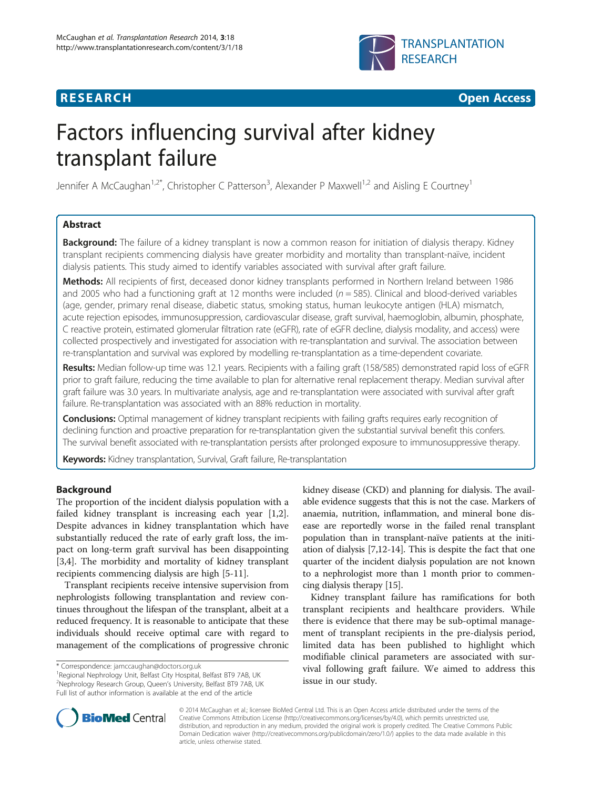# **RESEARCH CHEAR CHEAR CHEAR CHEAR CHEAR CHEAR CHEAR CHEAR CHEAR CHEAR CHEAR CHEAR CHEAR CHEAR CHEAR CHEAR CHEAR**



# Factors influencing survival after kidney transplant failure

Jennifer A McCaughan<sup>1,2\*</sup>, Christopher C Patterson<sup>3</sup>, Alexander P Maxwell<sup>1,2</sup> and Aisling E Courtney<sup>1</sup>

# Abstract

Background: The failure of a kidney transplant is now a common reason for initiation of dialysis therapy. Kidney transplant recipients commencing dialysis have greater morbidity and mortality than transplant-naïve, incident dialysis patients. This study aimed to identify variables associated with survival after graft failure.

Methods: All recipients of first, deceased donor kidney transplants performed in Northern Ireland between 1986 and 2005 who had a functioning graft at 12 months were included ( $n = 585$ ). Clinical and blood-derived variables (age, gender, primary renal disease, diabetic status, smoking status, human leukocyte antigen (HLA) mismatch, acute rejection episodes, immunosuppression, cardiovascular disease, graft survival, haemoglobin, albumin, phosphate, C reactive protein, estimated glomerular filtration rate (eGFR), rate of eGFR decline, dialysis modality, and access) were collected prospectively and investigated for association with re-transplantation and survival. The association between re-transplantation and survival was explored by modelling re-transplantation as a time-dependent covariate.

Results: Median follow-up time was 12.1 years. Recipients with a failing graft (158/585) demonstrated rapid loss of eGFR prior to graft failure, reducing the time available to plan for alternative renal replacement therapy. Median survival after graft failure was 3.0 years. In multivariate analysis, age and re-transplantation were associated with survival after graft failure. Re-transplantation was associated with an 88% reduction in mortality.

Conclusions: Optimal management of kidney transplant recipients with failing grafts requires early recognition of declining function and proactive preparation for re-transplantation given the substantial survival benefit this confers. The survival benefit associated with re-transplantation persists after prolonged exposure to immunosuppressive therapy.

Keywords: Kidney transplantation, Survival, Graft failure, Re-transplantation

# Background

The proportion of the incident dialysis population with a failed kidney transplant is increasing each year [\[1,2](#page-6-0)]. Despite advances in kidney transplantation which have substantially reduced the rate of early graft loss, the impact on long-term graft survival has been disappointing [[3,4\]](#page-6-0). The morbidity and mortality of kidney transplant recipients commencing dialysis are high [[5-11\]](#page-6-0).

Transplant recipients receive intensive supervision from nephrologists following transplantation and review continues throughout the lifespan of the transplant, albeit at a reduced frequency. It is reasonable to anticipate that these individuals should receive optimal care with regard to management of the complications of progressive chronic

<sup>1</sup>Regional Nephrology Unit, Belfast City Hospital, Belfast BT9 7AB, UK 2 Nephrology Research Group, Queen's University, Belfast BT9 7AB, UK Full list of author information is available at the end of the article

kidney disease (CKD) and planning for dialysis. The available evidence suggests that this is not the case. Markers of anaemia, nutrition, inflammation, and mineral bone disease are reportedly worse in the failed renal transplant population than in transplant-naïve patients at the initiation of dialysis [\[7,12-14\]](#page-6-0). This is despite the fact that one quarter of the incident dialysis population are not known to a nephrologist more than 1 month prior to commencing dialysis therapy [[15](#page-6-0)].

Kidney transplant failure has ramifications for both transplant recipients and healthcare providers. While there is evidence that there may be sub-optimal management of transplant recipients in the pre-dialysis period, limited data has been published to highlight which modifiable clinical parameters are associated with survival following graft failure. We aimed to address this issue in our study.



© 2014 McCaughan et al.; licensee BioMed Central Ltd. This is an Open Access article distributed under the terms of the Creative Commons Attribution License (<http://creativecommons.org/licenses/by/4.0>), which permits unrestricted use, distribution, and reproduction in any medium, provided the original work is properly credited. The Creative Commons Public Domain Dedication waiver [\(http://creativecommons.org/publicdomain/zero/1.0/\)](http://creativecommons.org/publicdomain/zero/1.0/) applies to the data made available in this article, unless otherwise stated.

<sup>\*</sup> Correspondence: [jamccaughan@doctors.org.uk](mailto:jamccaughan@doctors.org.uk) <sup>1</sup>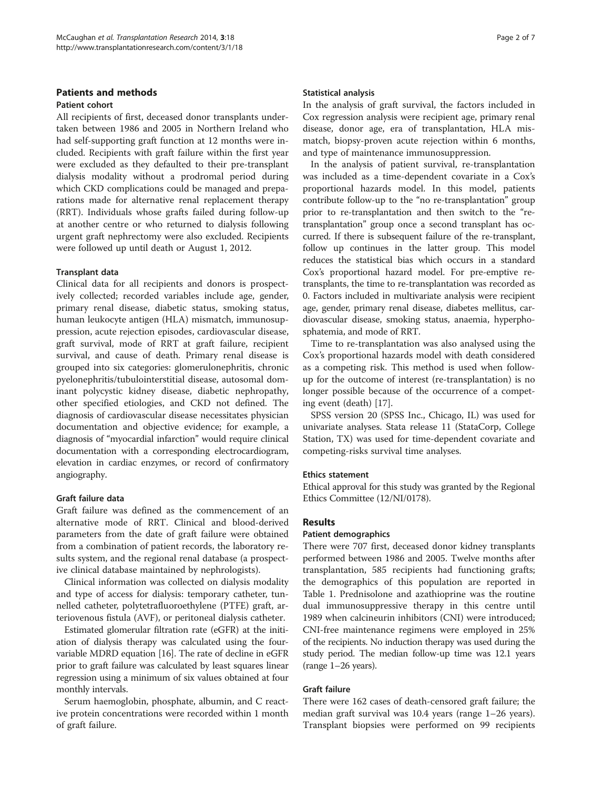# Patients and methods

# Patient cohort

All recipients of first, deceased donor transplants undertaken between 1986 and 2005 in Northern Ireland who had self-supporting graft function at 12 months were included. Recipients with graft failure within the first year were excluded as they defaulted to their pre-transplant dialysis modality without a prodromal period during which CKD complications could be managed and preparations made for alternative renal replacement therapy (RRT). Individuals whose grafts failed during follow-up at another centre or who returned to dialysis following urgent graft nephrectomy were also excluded. Recipients were followed up until death or August 1, 2012.

# Transplant data

Clinical data for all recipients and donors is prospectively collected; recorded variables include age, gender, primary renal disease, diabetic status, smoking status, human leukocyte antigen (HLA) mismatch, immunosuppression, acute rejection episodes, cardiovascular disease, graft survival, mode of RRT at graft failure, recipient survival, and cause of death. Primary renal disease is grouped into six categories: glomerulonephritis, chronic pyelonephritis/tubulointerstitial disease, autosomal dominant polycystic kidney disease, diabetic nephropathy, other specified etiologies, and CKD not defined. The diagnosis of cardiovascular disease necessitates physician documentation and objective evidence; for example, a diagnosis of "myocardial infarction" would require clinical documentation with a corresponding electrocardiogram, elevation in cardiac enzymes, or record of confirmatory angiography.

# Graft failure data

Graft failure was defined as the commencement of an alternative mode of RRT. Clinical and blood-derived parameters from the date of graft failure were obtained from a combination of patient records, the laboratory results system, and the regional renal database (a prospective clinical database maintained by nephrologists).

Clinical information was collected on dialysis modality and type of access for dialysis: temporary catheter, tunnelled catheter, polytetrafluoroethylene (PTFE) graft, arteriovenous fistula (AVF), or peritoneal dialysis catheter.

Estimated glomerular filtration rate (eGFR) at the initiation of dialysis therapy was calculated using the fourvariable MDRD equation [\[16](#page-6-0)]. The rate of decline in eGFR prior to graft failure was calculated by least squares linear regression using a minimum of six values obtained at four monthly intervals.

Serum haemoglobin, phosphate, albumin, and C reactive protein concentrations were recorded within 1 month of graft failure.

#### Statistical analysis

In the analysis of graft survival, the factors included in Cox regression analysis were recipient age, primary renal disease, donor age, era of transplantation, HLA mismatch, biopsy-proven acute rejection within 6 months, and type of maintenance immunosuppression.

In the analysis of patient survival, re-transplantation was included as a time-dependent covariate in a Cox's proportional hazards model. In this model, patients contribute follow-up to the "no re-transplantation" group prior to re-transplantation and then switch to the "retransplantation" group once a second transplant has occurred. If there is subsequent failure of the re-transplant, follow up continues in the latter group. This model reduces the statistical bias which occurs in a standard Cox's proportional hazard model. For pre-emptive retransplants, the time to re-transplantation was recorded as 0. Factors included in multivariate analysis were recipient age, gender, primary renal disease, diabetes mellitus, cardiovascular disease, smoking status, anaemia, hyperphosphatemia, and mode of RRT.

Time to re-transplantation was also analysed using the Cox's proportional hazards model with death considered as a competing risk. This method is used when followup for the outcome of interest (re-transplantation) is no longer possible because of the occurrence of a competing event (death) [\[17](#page-6-0)].

SPSS version 20 (SPSS Inc., Chicago, IL) was used for univariate analyses. Stata release 11 (StataCorp, College Station, TX) was used for time-dependent covariate and competing-risks survival time analyses.

# Ethics statement

Ethical approval for this study was granted by the Regional Ethics Committee (12/NI/0178).

# Results

# Patient demographics

There were 707 first, deceased donor kidney transplants performed between 1986 and 2005. Twelve months after transplantation, 585 recipients had functioning grafts; the demographics of this population are reported in Table [1.](#page-2-0) Prednisolone and azathioprine was the routine dual immunosuppressive therapy in this centre until 1989 when calcineurin inhibitors (CNI) were introduced; CNI-free maintenance regimens were employed in 25% of the recipients. No induction therapy was used during the study period. The median follow-up time was 12.1 years (range 1–26 years).

# Graft failure

There were 162 cases of death-censored graft failure; the median graft survival was 10.4 years (range 1–26 years). Transplant biopsies were performed on 99 recipients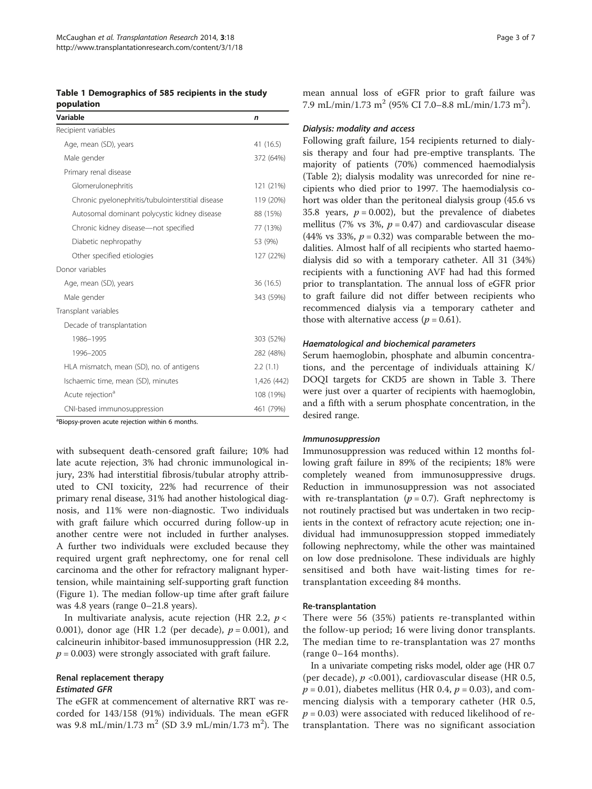<span id="page-2-0"></span>Table 1 Demographics of 585 recipients in the study population

| Variable                                          | n           |
|---------------------------------------------------|-------------|
| Recipient variables                               |             |
| Age, mean (SD), years                             | 41 (16.5)   |
| Male gender                                       | 372 (64%)   |
| Primary renal disease                             |             |
| Glomerulonephritis                                | 121 (21%)   |
| Chronic pyelonephritis/tubulointerstitial disease | 119 (20%)   |
| Autosomal dominant polycystic kidney disease      | 88 (15%)    |
| Chronic kidney disease-not specified              | 77 (13%)    |
| Diabetic nephropathy                              | 53 (9%)     |
| Other specified etiologies                        | 127 (22%)   |
| Donor variables                                   |             |
| Age, mean (SD), years                             | 36(16.5)    |
| Male gender                                       | 343 (59%)   |
| Transplant variables                              |             |
| Decade of transplantation                         |             |
| 1986-1995                                         | 303 (52%)   |
| 1996-2005                                         | 282 (48%)   |
| HLA mismatch, mean (SD), no. of antigens          | 2.2(1.1)    |
| Ischaemic time, mean (SD), minutes                | 1,426 (442) |
| Acute rejection <sup>a</sup>                      | 108 (19%)   |
| CNI-based immunosuppression                       | 461 (79%)   |
|                                                   |             |

<sup>a</sup>Biopsy-proven acute rejection within 6 months.

with subsequent death-censored graft failure; 10% had late acute rejection, 3% had chronic immunological injury, 23% had interstitial fibrosis/tubular atrophy attributed to CNI toxicity, 22% had recurrence of their primary renal disease, 31% had another histological diagnosis, and 11% were non-diagnostic. Two individuals with graft failure which occurred during follow-up in another centre were not included in further analyses. A further two individuals were excluded because they required urgent graft nephrectomy, one for renal cell carcinoma and the other for refractory malignant hypertension, while maintaining self-supporting graft function (Figure [1](#page-3-0)). The median follow-up time after graft failure was 4.8 years (range 0–21.8 years).

In multivariate analysis, acute rejection (HR 2.2,  $p <$ 0.001), donor age (HR 1.2 (per decade),  $p = 0.001$ ), and calcineurin inhibitor-based immunosuppression (HR 2.2,  $p = 0.003$ ) were strongly associated with graft failure.

# Renal replacement therapy Estimated GFR

The eGFR at commencement of alternative RRT was recorded for 143/158 (91%) individuals. The mean eGFR was 9.8 mL/min/1.73 m<sup>2</sup> (SD 3.9 mL/min/1.73 m<sup>2</sup>). The

mean annual loss of eGFR prior to graft failure was 7.9 mL/min/1.73 m<sup>2</sup> (95% CI 7.0–8.8 mL/min/1.73 m<sup>2</sup>).

# Dialysis: modality and access

Following graft failure, 154 recipients returned to dialysis therapy and four had pre-emptive transplants. The majority of patients (70%) commenced haemodialysis (Table [2\)](#page-4-0); dialysis modality was unrecorded for nine recipients who died prior to 1997. The haemodialysis cohort was older than the peritoneal dialysis group (45.6 vs 35.8 years,  $p = 0.002$ ), but the prevalence of diabetes mellitus (7% vs 3%,  $p = 0.47$ ) and cardiovascular disease (44% vs 33%,  $p = 0.32$ ) was comparable between the modalities. Almost half of all recipients who started haemodialysis did so with a temporary catheter. All 31 (34%) recipients with a functioning AVF had had this formed prior to transplantation. The annual loss of eGFR prior to graft failure did not differ between recipients who recommenced dialysis via a temporary catheter and those with alternative access ( $p = 0.61$ ).

#### Haematological and biochemical parameters

Serum haemoglobin, phosphate and albumin concentrations, and the percentage of individuals attaining K/ DOQI targets for CKD5 are shown in Table [3](#page-4-0). There were just over a quarter of recipients with haemoglobin, and a fifth with a serum phosphate concentration, in the desired range.

#### Immunosuppression

Immunosuppression was reduced within 12 months following graft failure in 89% of the recipients; 18% were completely weaned from immunosuppressive drugs. Reduction in immunosuppression was not associated with re-transplantation ( $p = 0.7$ ). Graft nephrectomy is not routinely practised but was undertaken in two recipients in the context of refractory acute rejection; one individual had immunosuppression stopped immediately following nephrectomy, while the other was maintained on low dose prednisolone. These individuals are highly sensitised and both have wait-listing times for retransplantation exceeding 84 months.

## Re-transplantation

There were 56 (35%) patients re-transplanted within the follow-up period; 16 were living donor transplants. The median time to re-transplantation was 27 months (range 0–164 months).

In a univariate competing risks model, older age (HR 0.7 (per decade),  $p < 0.001$ ), cardiovascular disease (HR 0.5,  $p = 0.01$ ), diabetes mellitus (HR 0.4,  $p = 0.03$ ), and commencing dialysis with a temporary catheter (HR 0.5,  $p = 0.03$ ) were associated with reduced likelihood of retransplantation. There was no significant association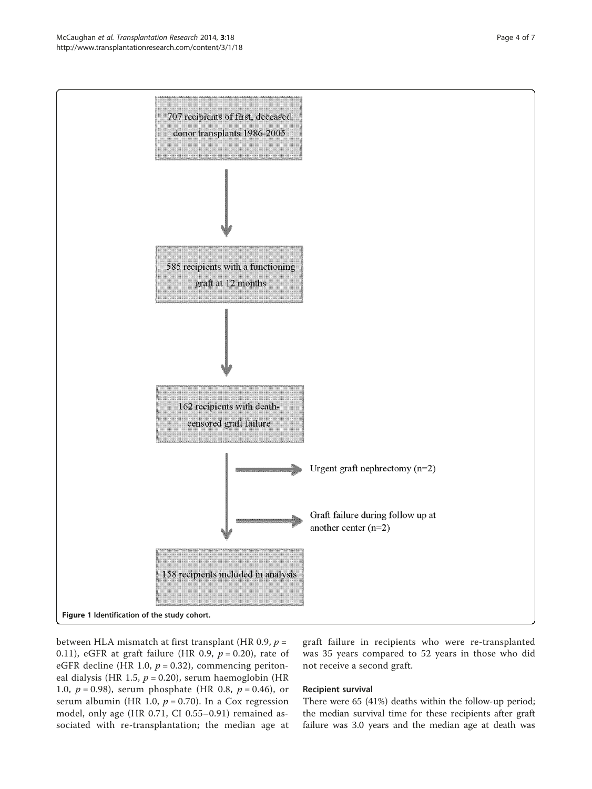<span id="page-3-0"></span>

between HLA mismatch at first transplant (HR 0.9,  $p =$ 0.11), eGFR at graft failure (HR 0.9,  $p = 0.20$ ), rate of eGFR decline (HR 1.0,  $p = 0.32$ ), commencing peritoneal dialysis (HR 1.5,  $p = 0.20$ ), serum haemoglobin (HR 1.0,  $p = 0.98$ ), serum phosphate (HR 0.8,  $p = 0.46$ ), or serum albumin (HR 1.0,  $p = 0.70$ ). In a Cox regression model, only age (HR 0.71, CI 0.55–0.91) remained associated with re-transplantation; the median age at

graft failure in recipients who were re-transplanted was 35 years compared to 52 years in those who did not receive a second graft.

# Recipient survival

There were 65 (41%) deaths within the follow-up period; the median survival time for these recipients after graft failure was 3.0 years and the median age at death was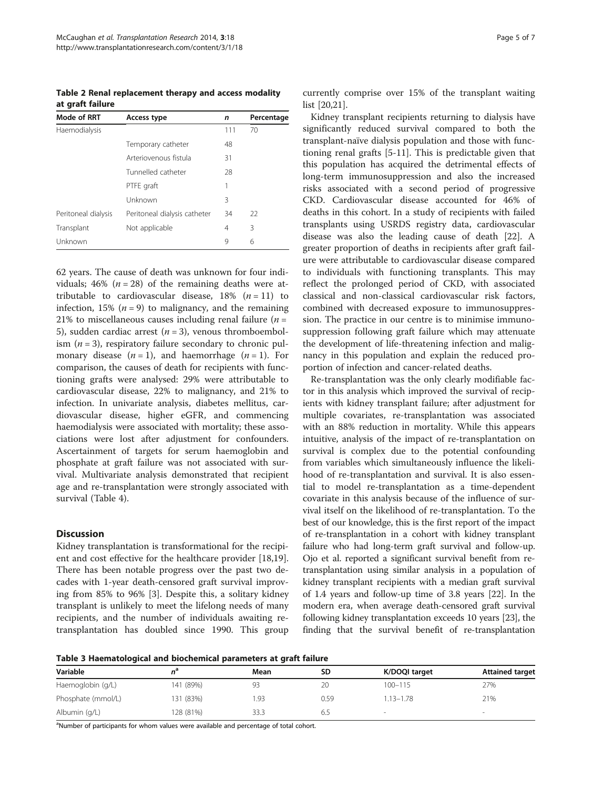<span id="page-4-0"></span>Table 2 Renal replacement therapy and access modality at graft failure

| Mode of RRT         | Access type                  | n   | Percentage |
|---------------------|------------------------------|-----|------------|
| Haemodialysis       |                              | 111 | 70         |
|                     | Temporary catheter           | 48  |            |
|                     | Arteriovenous fistula        | 31  |            |
|                     | Tunnelled catheter           | 28  |            |
|                     | PTFE graft                   |     |            |
|                     | Unknown                      | 3   |            |
| Peritoneal dialysis | Peritoneal dialysis catheter | 34  | 22         |
| Transplant          | Not applicable               | 4   | 3          |
| Unknown             |                              | 9   | 6          |

62 years. The cause of death was unknown for four individuals;  $46\%$  ( $n = 28$ ) of the remaining deaths were attributable to cardiovascular disease,  $18\%$   $(n = 11)$  to infection, 15% ( $n = 9$ ) to malignancy, and the remaining 21% to miscellaneous causes including renal failure ( $n =$ 5), sudden cardiac arrest ( $n = 3$ ), venous thromboembolism  $(n = 3)$ , respiratory failure secondary to chronic pulmonary disease  $(n = 1)$ , and haemorrhage  $(n = 1)$ . For comparison, the causes of death for recipients with functioning grafts were analysed: 29% were attributable to cardiovascular disease, 22% to malignancy, and 21% to infection. In univariate analysis, diabetes mellitus, cardiovascular disease, higher eGFR, and commencing haemodialysis were associated with mortality; these associations were lost after adjustment for confounders. Ascertainment of targets for serum haemoglobin and phosphate at graft failure was not associated with survival. Multivariate analysis demonstrated that recipient age and re-transplantation were strongly associated with survival (Table [4](#page-5-0)).

# **Discussion**

Kidney transplantation is transformational for the recipient and cost effective for the healthcare provider [\[18,19](#page-6-0)]. There has been notable progress over the past two decades with 1-year death-censored graft survival improving from 85% to 96% [[3\]](#page-6-0). Despite this, a solitary kidney transplant is unlikely to meet the lifelong needs of many recipients, and the number of individuals awaiting retransplantation has doubled since 1990. This group

currently comprise over 15% of the transplant waiting list [[20,21\]](#page-6-0).

Kidney transplant recipients returning to dialysis have significantly reduced survival compared to both the transplant-naïve dialysis population and those with functioning renal grafts [\[5](#page-6-0)-[11\]](#page-6-0). This is predictable given that this population has acquired the detrimental effects of long-term immunosuppression and also the increased risks associated with a second period of progressive CKD. Cardiovascular disease accounted for 46% of deaths in this cohort. In a study of recipients with failed transplants using USRDS registry data, cardiovascular disease was also the leading cause of death [\[22](#page-6-0)]. A greater proportion of deaths in recipients after graft failure were attributable to cardiovascular disease compared to individuals with functioning transplants. This may reflect the prolonged period of CKD, with associated classical and non-classical cardiovascular risk factors, combined with decreased exposure to immunosuppression. The practice in our centre is to minimise immunosuppression following graft failure which may attenuate the development of life-threatening infection and malignancy in this population and explain the reduced proportion of infection and cancer-related deaths.

Re-transplantation was the only clearly modifiable factor in this analysis which improved the survival of recipients with kidney transplant failure; after adjustment for multiple covariates, re-transplantation was associated with an 88% reduction in mortality. While this appears intuitive, analysis of the impact of re-transplantation on survival is complex due to the potential confounding from variables which simultaneously influence the likelihood of re-transplantation and survival. It is also essential to model re-transplantation as a time-dependent covariate in this analysis because of the influence of survival itself on the likelihood of re-transplantation. To the best of our knowledge, this is the first report of the impact of re-transplantation in a cohort with kidney transplant failure who had long-term graft survival and follow-up. Ojo et al. reported a significant survival benefit from retransplantation using similar analysis in a population of kidney transplant recipients with a median graft survival of 1.4 years and follow-up time of 3.8 years [[22](#page-6-0)]. In the modern era, when average death-censored graft survival following kidney transplantation exceeds 10 years [\[23](#page-6-0)], the finding that the survival benefit of re-transplantation

Table 3 Haematological and biochemical parameters at graft failure

| Variable           |           | Mean | SD   | K/DOQI target | <b>Attained target</b> |  |
|--------------------|-----------|------|------|---------------|------------------------|--|
| Haemoglobin (g/L)  | 141 (89%) |      | 20   | $100 - 115$   | 27%                    |  |
| Phosphate (mmol/L) | 131 (83%) | 1.93 | 0.59 | $1.13 - 1.78$ | 21%                    |  |
| Albumin (g/L)      | 128 (81%) | 33.3 | 6.5  | $\sim$        | -                      |  |

<sup>a</sup>Number of participants for whom values were available and percentage of total cohort.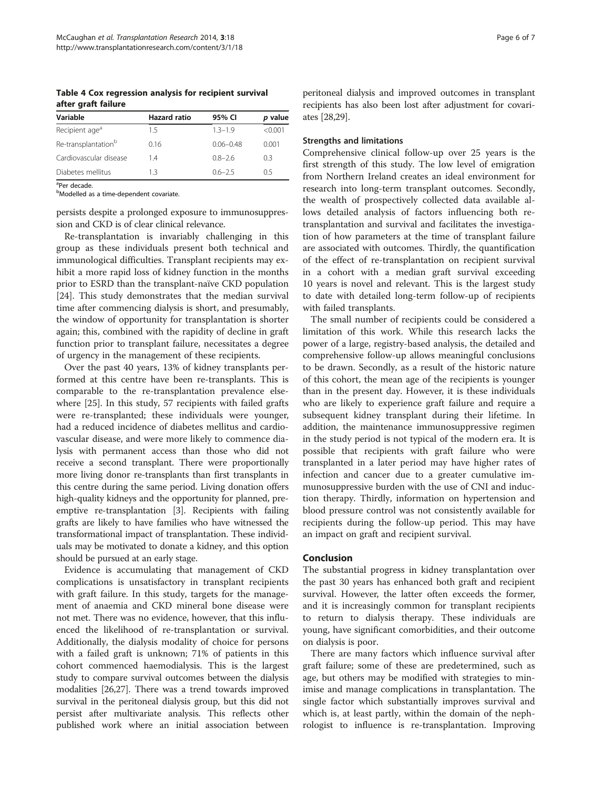<span id="page-5-0"></span>Table 4 Cox regression analysis for recipient survival after graft failure

| Variable                        | Hazard ratio | 95% CI        | p value |
|---------------------------------|--------------|---------------|---------|
| Recipient age <sup>a</sup>      | 15           | $13 - 19$     | < 0.001 |
| Re-transplantation <sup>b</sup> | 0.16         | $0.06 - 0.48$ | 0.001   |
| Cardiovascular disease          | 14           | $08 - 26$     | 03      |
| Diabetes mellitus               | 13           | $06 - 25$     | O 5     |
|                                 |              |               |         |

<sup>a</sup>Per decade.

<sup>b</sup>Modelled as a time-dependent covariate.

persists despite a prolonged exposure to immunosuppression and CKD is of clear clinical relevance.

Re-transplantation is invariably challenging in this group as these individuals present both technical and immunological difficulties. Transplant recipients may exhibit a more rapid loss of kidney function in the months prior to ESRD than the transplant-naïve CKD population [[24\]](#page-6-0). This study demonstrates that the median survival time after commencing dialysis is short, and presumably, the window of opportunity for transplantation is shorter again; this, combined with the rapidity of decline in graft function prior to transplant failure, necessitates a degree of urgency in the management of these recipients.

Over the past 40 years, 13% of kidney transplants performed at this centre have been re-transplants. This is comparable to the re-transplantation prevalence elsewhere [[25\]](#page-6-0). In this study, 57 recipients with failed grafts were re-transplanted; these individuals were younger, had a reduced incidence of diabetes mellitus and cardiovascular disease, and were more likely to commence dialysis with permanent access than those who did not receive a second transplant. There were proportionally more living donor re-transplants than first transplants in this centre during the same period. Living donation offers high-quality kidneys and the opportunity for planned, preemptive re-transplantation [\[3\]](#page-6-0). Recipients with failing grafts are likely to have families who have witnessed the transformational impact of transplantation. These individuals may be motivated to donate a kidney, and this option should be pursued at an early stage.

Evidence is accumulating that management of CKD complications is unsatisfactory in transplant recipients with graft failure. In this study, targets for the management of anaemia and CKD mineral bone disease were not met. There was no evidence, however, that this influenced the likelihood of re-transplantation or survival. Additionally, the dialysis modality of choice for persons with a failed graft is unknown; 71% of patients in this cohort commenced haemodialysis. This is the largest study to compare survival outcomes between the dialysis modalities [[26,27](#page-6-0)]. There was a trend towards improved survival in the peritoneal dialysis group, but this did not persist after multivariate analysis. This reflects other published work where an initial association between peritoneal dialysis and improved outcomes in transplant recipients has also been lost after adjustment for covariates [[28,29](#page-6-0)].

## Strengths and limitations

Comprehensive clinical follow-up over 25 years is the first strength of this study. The low level of emigration from Northern Ireland creates an ideal environment for research into long-term transplant outcomes. Secondly, the wealth of prospectively collected data available allows detailed analysis of factors influencing both retransplantation and survival and facilitates the investigation of how parameters at the time of transplant failure are associated with outcomes. Thirdly, the quantification of the effect of re-transplantation on recipient survival in a cohort with a median graft survival exceeding 10 years is novel and relevant. This is the largest study to date with detailed long-term follow-up of recipients with failed transplants.

The small number of recipients could be considered a limitation of this work. While this research lacks the power of a large, registry-based analysis, the detailed and comprehensive follow-up allows meaningful conclusions to be drawn. Secondly, as a result of the historic nature of this cohort, the mean age of the recipients is younger than in the present day. However, it is these individuals who are likely to experience graft failure and require a subsequent kidney transplant during their lifetime. In addition, the maintenance immunosuppressive regimen in the study period is not typical of the modern era. It is possible that recipients with graft failure who were transplanted in a later period may have higher rates of infection and cancer due to a greater cumulative immunosuppressive burden with the use of CNI and induction therapy. Thirdly, information on hypertension and blood pressure control was not consistently available for recipients during the follow-up period. This may have an impact on graft and recipient survival.

# Conclusion

The substantial progress in kidney transplantation over the past 30 years has enhanced both graft and recipient survival. However, the latter often exceeds the former, and it is increasingly common for transplant recipients to return to dialysis therapy. These individuals are young, have significant comorbidities, and their outcome on dialysis is poor.

There are many factors which influence survival after graft failure; some of these are predetermined, such as age, but others may be modified with strategies to minimise and manage complications in transplantation. The single factor which substantially improves survival and which is, at least partly, within the domain of the nephrologist to influence is re-transplantation. Improving